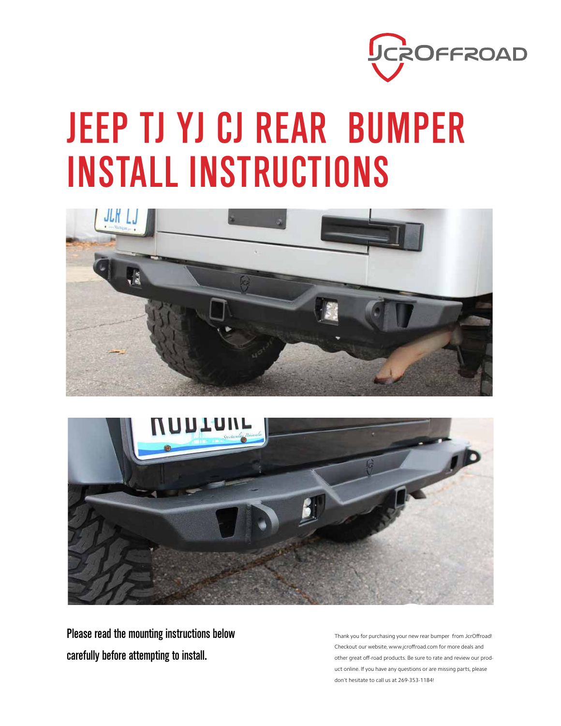

# JEEP TJ YJ CJ REAR BUMPER INSTALL INSTRUCTIONS





Please read the mounting instructions below carefully before attempting to install.

Thank you for purchasing your new rear bumper from JcrOffroad! Checkout our website, www.jcroffroad.com for more deals and other great off-road products. Be sure to rate and review our product online. If you have any questions or are missing parts, please don't hesitate to call us at 269-353-1184!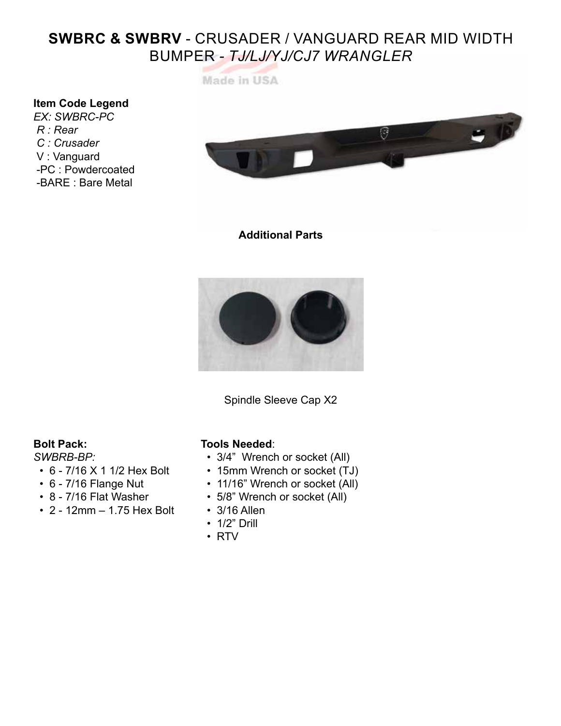## **SWBRC & SWBRV** - CRUSADER / VANGUARD REAR MID WIDTH BUMPER *- TJ/LJ/YJ/CJ7 WRANGLER*

Made in USA

### **Item Code Legend**

*EX: SWBRC-PC R : Rear C : Crusader* V : Vanguard -PC : Powdercoated -BARE : Bare Metal



#### **Additional Parts**



Spindle Sleeve Cap X2

#### **Bolt Pack:**

#### *SWBRB-BP:*

- 6 7/16 X 1 1/2 Hex Bolt
- 6 7/16 Flange Nut
- 8 7/16 Flat Washer
- 2 12mm 1.75 Hex Bolt

#### **Tools Needed**:

- 3/4" Wrench or socket (All)
- 15mm Wrench or socket (TJ)
- 11/16" Wrench or socket (All)
- 5/8" Wrench or socket (All)
- 3/16 Allen
- 1/2" Drill
- RTV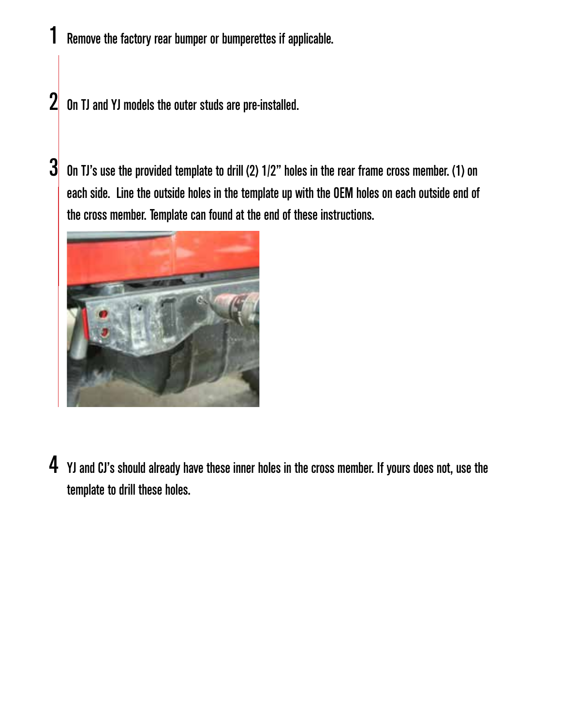Remove the factory rear bumper or bumperettes if applicable.

On TJ and YJ models the outer studs are pre-installed. 2

On TJ's use the provided template to drill (2) 1/2" holes in the rear frame cross member. (1) on each side. Line the outside holes in the template up with the OEM holes on each outside end of the cross member. Template can found at the end of these instructions. 3



 $\boldsymbol{4}$  YJ and CJ's should already have these inner holes in the cross member. If yours does not, use the template to drill these holes.

1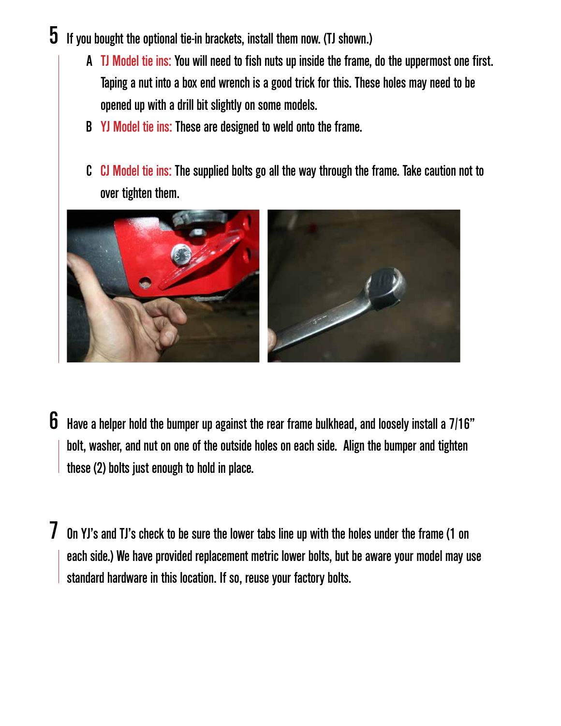- $5$  If you bought the optional tie-in brackets, install them now. (TJ shown.)
	- A TJ Model tie ins: You will need to fish nuts up inside the frame, do the uppermost one first. Taping a nut into a box end wrench is a good trick for this. These holes may need to be opened up with a drill bit slightly on some models.
	- B YJ Model tie ins: These are designed to weld onto the frame.
	- C CJ Model tie ins: The supplied bolts go all the way through the frame. Take caution not to over tighten them.



- $\bf{6}$  Have a helper hold the bumper up against the rear frame bulkhead, and loosely install a 7/16" bolt, washer, and nut on one of the outside holes on each side. Align the bumper and tighten these (2) bolts just enough to hold in place.
- On YJ's and TJ's check to be sure the lower tabs line up with the holes under the frame (1 on each side.) We have provided replacement metric lower bolts, but be aware your model may use standard hardware in this location. If so, reuse your factory bolts. 7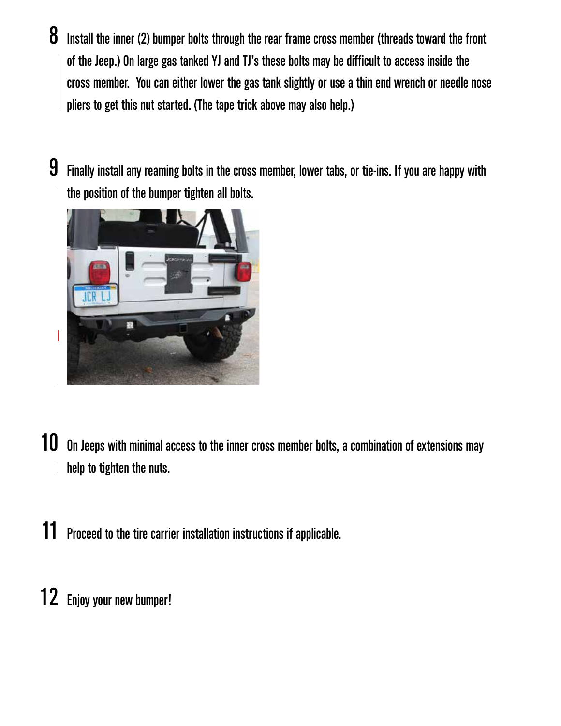- Install the inner (2) bumper bolts through the rear frame cross member (threads toward the front of the Jeep.) On large gas tanked YJ and TJ's these bolts may be difficult to access inside the cross member. You can either lower the gas tank slightly or use a thin end wrench or needle nose pliers to get this nut started. (The tape trick above may also help.) 8
- Finally install any reaming bolts in the cross member, lower tabs, or tie-ins. If you are happy with the position of the bumper tighten all bolts. 9



- 10 On Jeeps with minimal access to the inner cross member bolts, a combination of extensions may help to tighten the nuts.
- 11 Proceed to the tire carrier installation instructions if applicable.
- 12 Enjoy your new bumper!